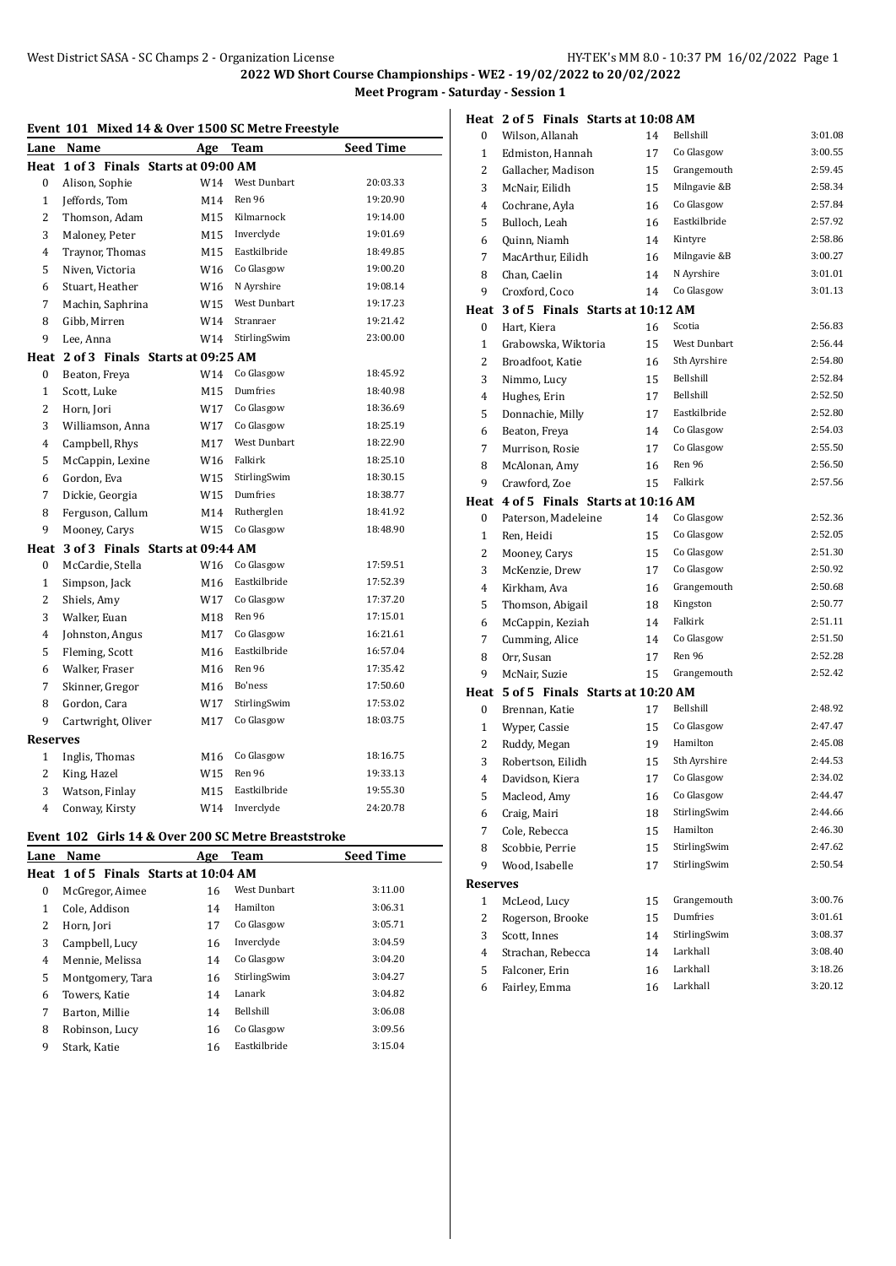### **Event 101 Mixed 14 & Over 1500 SC Metre Freestyle**

| Lane            | Name                                  | Age | Team                | <b>Seed Time</b> |
|-----------------|---------------------------------------|-----|---------------------|------------------|
| Heat            | 1 of 3 Finals Starts at 09:00 AM      |     |                     |                  |
| 0               | Alison, Sophie                        | W14 | West Dunbart        | 20.03.33         |
| $\mathbf{1}$    | Jeffords, Tom                         | M14 | Ren 96              | 19:20.90         |
| $\overline{2}$  | Thomson, Adam                         | M15 | Kilmarnock          | 19:14.00         |
| 3               | Maloney, Peter                        | M15 | Inverclyde          | 19:01.69         |
| 4               | Traynor, Thomas                       | M15 | Eastkilbride        | 18:49.85         |
| 5               | Niven, Victoria                       | W16 | Co Glasgow          | 19:00.20         |
| 6               | Stuart. Heather                       | W16 | N Ayrshire          | 19:08.14         |
| 7               | Machin, Saphrina                      | W15 | West Dunbart        | 19:17.23         |
| 8               | Gibb, Mirren                          | W14 | Stranraer           | 19:21.42         |
| 9               | Lee. Anna                             | W14 | StirlingSwim        | 23:00.00         |
|                 | Heat 2 of 3 Finals Starts at 09:25 AM |     |                     |                  |
| 0               | Beaton, Freya                         | W14 | Co Glasgow          | 18:45.92         |
| $\mathbf{1}$    | Scott, Luke                           | M15 | Dumfries            | 18:40.98         |
| $\overline{c}$  | Horn, Jori                            | W17 | Co Glasgow          | 18:36.69         |
| 3               | Williamson, Anna                      | W17 | Co Glasgow          | 18:25.19         |
| 4               | Campbell, Rhys                        | M17 | <b>West Dunbart</b> | 18:22.90         |
| 5               | McCappin, Lexine                      | W16 | Falkirk             | 18:25.10         |
| 6               | Gordon, Eva                           | W15 | StirlingSwim        | 18:30.15         |
| 7               | Dickie, Georgia                       | W15 | Dumfries            | 18:38.77         |
| 8               | Ferguson, Callum                      | M14 | Rutherglen          | 18:41.92         |
| 9               | Mooney, Carys                         | W15 | Co Glasgow          | 18:48.90         |
| Heat            | 3 of 3 Finals Starts at 09:44 AM      |     |                     |                  |
| 0               | McCardie, Stella                      | W16 | Co Glasgow          | 17:59.51         |
| $\mathbf{1}$    | Simpson, Jack                         | M16 | Eastkilbride        | 17:52.39         |
| $\overline{2}$  | Shiels, Amy                           | W17 | Co Glasgow          | 17:37.20         |
| 3               | Walker, Euan                          | M18 | Ren 96              | 17:15.01         |
| $\overline{4}$  | Johnston, Angus                       | M17 | Co Glasgow          | 16:21.61         |
| 5               | Fleming, Scott                        | M16 | Eastkilbride        | 16:57.04         |
| 6               | Walker, Fraser                        | M16 | Ren 96              | 17:35.42         |
| 7               | Skinner, Gregor                       | M16 | Bo'ness             | 17:50.60         |
| 8               | Gordon, Cara                          | W17 | StirlingSwim        | 17:53.02         |
| 9               | Cartwright, Oliver                    | M17 | Co Glasgow          | 18:03.75         |
| <b>Reserves</b> |                                       |     |                     |                  |
| $\mathbf{1}$    | Inglis, Thomas                        | M16 | Co Glasgow          | 18:16.75         |
| $\overline{2}$  | King, Hazel                           | W15 | Ren 96              | 19:33.13         |
| 3               | Watson, Finlay                        | M15 | Eastkilbride        | 19:55.30         |
| 4               | Conway, Kirsty                        | W14 | Inverclyde          | 24:20.78         |

## **Event 102 Girls 14 & Over 200 SC Metre Breaststroke**

| Lane | Name                                  | Age | Team                | <b>Seed Time</b> |
|------|---------------------------------------|-----|---------------------|------------------|
|      | Heat 1 of 5 Finals Starts at 10:04 AM |     |                     |                  |
| 0    | McGregor, Aimee                       | 16  | <b>West Dunbart</b> | 3:11.00          |
| 1    | Cole, Addison                         | 14  | Hamilton            | 3:06.31          |
| 2    | Horn, Jori                            | 17  | Co Glasgow          | 3:05.71          |
| 3    | Campbell, Lucy                        | 16  | Inverclyde          | 3:04.59          |
| 4    | Mennie, Melissa                       | 14  | Co Glasgow          | 3:04.20          |
| 5.   | Montgomery, Tara                      | 16  | StirlingSwim        | 3:04.27          |
| 6    | Towers, Katie                         | 14  | Lanark              | 3:04.82          |
| 7    | Barton, Millie                        | 14  | Bellshill           | 3:06.08          |
| 8    | Robinson, Lucy                        | 16  | Co Glasgow          | 3:09.56          |
| 9    | Stark, Katie                          | 16  | Eastkilbride        | 3:15.04          |
|      |                                       |     |                     |                  |

|          | Heat 2 of 5 Finals Starts at 10:08 AM |    |              |         |  |  |
|----------|---------------------------------------|----|--------------|---------|--|--|
| 0        | Wilson, Allanah                       | 14 | Bellshill    | 3:01.08 |  |  |
| 1        | Edmiston, Hannah                      | 17 | Co Glasgow   | 3:00.55 |  |  |
| 2        | Gallacher, Madison                    | 15 | Grangemouth  | 2:59.45 |  |  |
| 3        | McNair, Eilidh                        | 15 | Milngavie &B | 2:58.34 |  |  |
| 4        | Cochrane, Ayla                        | 16 | Co Glasgow   | 2:57.84 |  |  |
| 5        | Bulloch, Leah                         | 16 | Eastkilbride | 2:57.92 |  |  |
| 6        | Quinn, Niamh                          | 14 | Kintyre      | 2:58.86 |  |  |
| 7        | MacArthur, Eilidh                     | 16 | Milngavie &B | 3:00.27 |  |  |
| 8        | Chan. Caelin                          | 14 | N Ayrshire   | 3:01.01 |  |  |
| 9        | Croxford, Coco                        | 14 | Co Glasgow   | 3:01.13 |  |  |
|          | Heat 3 of 5 Finals Starts at 10:12 AM |    |              |         |  |  |
| 0        | Hart, Kiera                           | 16 | Scotia       | 2:56.83 |  |  |
| 1        | Grabowska, Wiktoria                   | 15 | West Dunbart | 2:56.44 |  |  |
| 2        | Broadfoot, Katie                      | 16 | Sth Ayrshire | 2:54.80 |  |  |
| 3        | Nimmo, Lucy                           | 15 | Bellshill    | 2:52.84 |  |  |
| 4        | Hughes, Erin                          | 17 | Bellshill    | 2:52.50 |  |  |
| 5        | Donnachie, Milly                      | 17 | Eastkilbride | 2:52.80 |  |  |
| 6        | Beaton, Freya                         | 14 | Co Glasgow   | 2:54.03 |  |  |
| 7        | Murrison, Rosie                       | 17 | Co Glasgow   | 2:55.50 |  |  |
| 8        | McAlonan, Amy                         | 16 | Ren 96       | 2:56.50 |  |  |
| 9        | Crawford, Zoe                         | 15 | Falkirk      | 2:57.56 |  |  |
|          | Heat 4 of 5 Finals Starts at 10:16 AM |    |              |         |  |  |
| 0        | Paterson, Madeleine                   | 14 | Co Glasgow   | 2:52.36 |  |  |
| 1        | Ren, Heidi                            | 15 | Co Glasgow   | 2:52.05 |  |  |
| 2        | Mooney, Carys                         | 15 | Co Glasgow   | 2:51.30 |  |  |
| 3        | McKenzie, Drew                        | 17 | Co Glasgow   | 2:50.92 |  |  |
| 4        | Kirkham, Ava                          | 16 | Grangemouth  | 2:50.68 |  |  |
| 5        | Thomson, Abigail                      | 18 | Kingston     | 2:50.77 |  |  |
| 6        | McCappin, Keziah                      | 14 | Falkirk      | 2:51.11 |  |  |
| 7        | Cumming, Alice                        | 14 | Co Glasgow   | 2:51.50 |  |  |
| 8        | Orr, Susan                            | 17 | Ren 96       | 2:52.28 |  |  |
| 9        | McNair, Suzie                         | 15 | Grangemouth  | 2:52.42 |  |  |
|          | Heat 5 of 5 Finals Starts at 10:20 AM |    |              |         |  |  |
| 0        | Brennan, Katie                        | 17 | Bellshill    | 2:48.92 |  |  |
| 1        | Wyper, Cassie                         | 15 | Co Glasgow   | 2:47.47 |  |  |
| 2        | Ruddy, Megan                          | 19 | Hamilton     | 2:45.08 |  |  |
| 3        | Robertson, Eilidh                     | 15 | Sth Ayrshire | 2:44.53 |  |  |
| 4        | Davidson, Kiera                       | 17 | Co Glasgow   | 2:34.02 |  |  |
| 5        | Macleod, Amy                          | 16 | Co Glasgow   | 2:44.47 |  |  |
| 6        | Craig, Mairi                          | 18 | StirlingSwim | 2:44.66 |  |  |
| 7        | Cole, Rebecca                         | 15 | Hamilton     | 2:46.30 |  |  |
| 8        | Scobbie, Perrie                       | 15 | StirlingSwim | 2:47.62 |  |  |
| 9        | Wood, Isabelle                        | 17 | StirlingSwim | 2:50.54 |  |  |
| Reserves |                                       |    |              |         |  |  |
| 1        | McLeod, Lucy                          | 15 | Grangemouth  | 3:00.76 |  |  |
| 2        | Rogerson, Brooke                      | 15 | Dumfries     | 3:01.61 |  |  |
| 3        | Scott, Innes                          | 14 | StirlingSwim | 3:08.37 |  |  |
| 4        | Strachan, Rebecca                     | 14 | Larkhall     | 3:08.40 |  |  |
| 5        | Falconer, Erin                        | 16 | Larkhall     | 3:18.26 |  |  |
| 6        | Fairley, Emma                         | 16 | Larkhall     | 3:20.12 |  |  |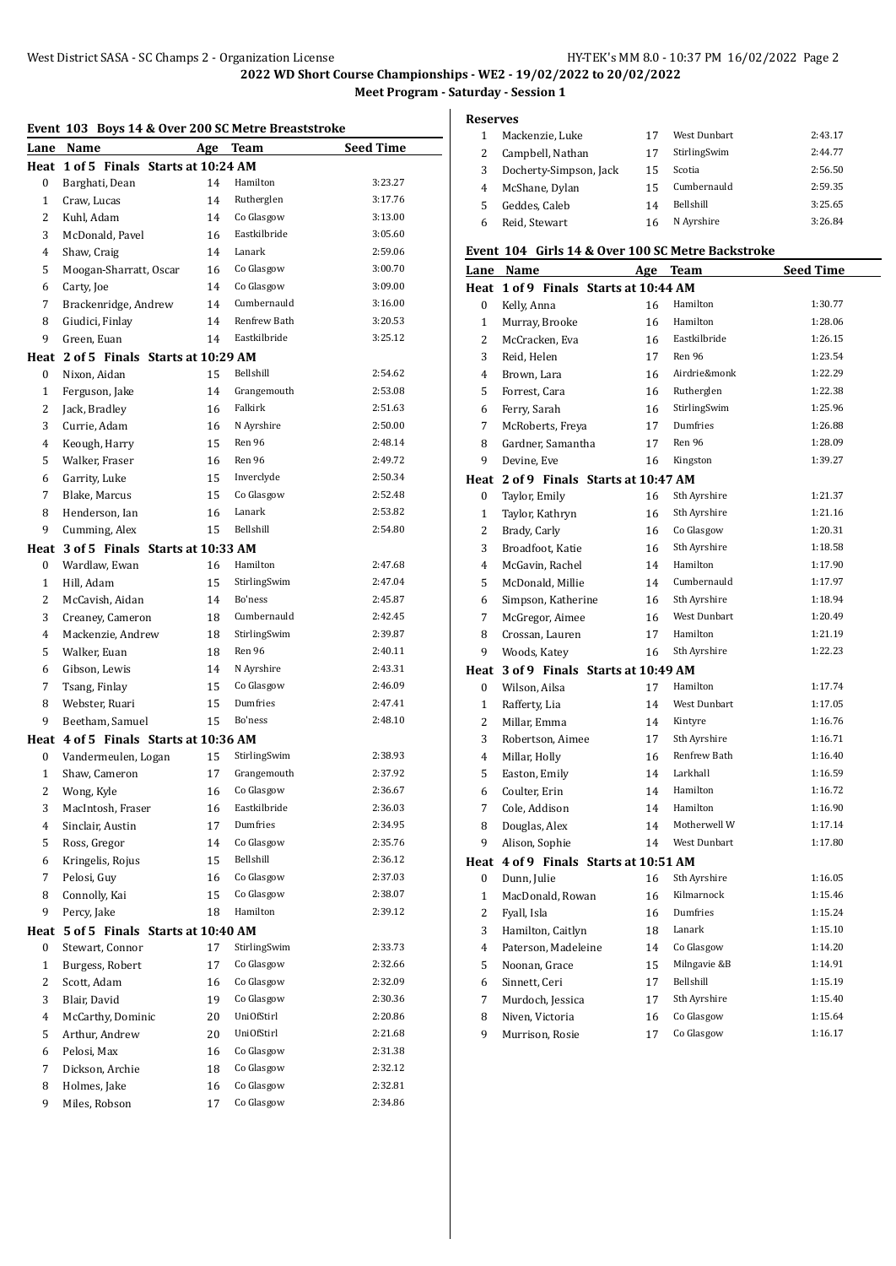|                | Event 103 Boys 14 & Over 200 SC Metre Breaststroke |     |              |                  |
|----------------|----------------------------------------------------|-----|--------------|------------------|
| Lane           | Name                                               | Age | <b>Team</b>  | <b>Seed Time</b> |
| Heat           | 1 of 5 Finals Starts at 10:24 AM                   |     |              |                  |
| 0              | Barghati, Dean                                     | 14  | Hamilton     | 3:23.27          |
| $\mathbf{1}$   | Craw, Lucas                                        | 14  | Rutherglen   | 3:17.76          |
| $\overline{2}$ | Kuhl, Adam                                         | 14  | Co Glasgow   | 3:13.00          |
| 3              | McDonald, Pavel                                    | 16  | Eastkilbride | 3:05.60          |
| 4              | Shaw, Craig                                        | 14  | Lanark       | 2:59.06          |
| 5              | Moogan-Sharratt, Oscar                             | 16  | Co Glasgow   | 3:00.70          |
| 6              | Carty, Joe                                         | 14  | Co Glasgow   | 3:09.00          |
| 7              | Brackenridge, Andrew                               | 14  | Cumbernauld  | 3:16.00          |
| 8              | Giudici, Finlay                                    | 14  | Renfrew Bath | 3:20.53          |
| 9              | Green, Euan                                        | 14  | Eastkilbride | 3:25.12          |
| Heat           | 2 of 5 Finals Starts at 10:29 AM                   |     |              |                  |
| 0              | Nixon, Aidan                                       | 15  | Bellshill    | 2:54.62          |
| 1              | Ferguson, Jake                                     | 14  | Grangemouth  | 2:53.08          |
| 2              | Jack, Bradley                                      | 16  | Falkirk      | 2:51.63          |
| 3              | Currie, Adam                                       | 16  | N Avrshire   | 2:50.00          |
| 4              | Keough, Harry                                      | 15  | Ren 96       | 2:48.14          |
| 5              | Walker, Fraser                                     | 16  | Ren 96       | 2:49.72          |
| 6              | Garrity, Luke                                      | 15  | Inverclyde   | 2:50.34          |
| 7              | Blake, Marcus                                      | 15  | Co Glasgow   | 2:52.48          |
| 8              |                                                    | 16  | Lanark       | 2:53.82          |
|                | Henderson, Ian                                     |     | Bellshill    | 2:54.80          |
| 9              | Cumming, Alex                                      | 15  |              |                  |
| Heat           | 3 of 5 Finals Starts at 10:33 AM                   |     |              |                  |
| $\mathbf{0}$   | Wardlaw, Ewan                                      | 16  | Hamilton     | 2:47.68          |
| $\mathbf{1}$   | Hill, Adam                                         | 15  | StirlingSwim | 2:47.04          |
| 2              | McCavish, Aidan                                    | 14  | Bo'ness      | 2:45.87          |
| 3              | Creaney, Cameron                                   | 18  | Cumbernauld  | 2:42.45          |
| 4              | Mackenzie, Andrew                                  | 18  | StirlingSwim | 2:39.87          |
| 5              | Walker, Euan                                       | 18  | Ren 96       | 2:40.11          |
| 6              | Gibson, Lewis                                      | 14  | N Ayrshire   | 2:43.31          |
| 7              | Tsang, Finlay                                      | 15  | Co Glasgow   | 2:46.09          |
| 8              | Webster, Ruari                                     | 15  | Dumfries     | 2:47.41          |
| 9              | Beetham, Samuel                                    | 15  | Bo'ness      | 2:48.10          |
|                | Heat 4 of 5 Finals Starts at 10:36 AM              |     |              |                  |
| $\bf{0}$       | Vandermeulen, Logan                                | 15  | StirlingSwim | 2:38.93          |
| 1              | Shaw, Cameron                                      | 17  | Grangemouth  | 2:37.92          |
| 2              | Wong, Kyle                                         | 16  | Co Glasgow   | 2:36.67          |
| 3              | MacIntosh, Fraser                                  | 16  | Eastkilbride | 2:36.03          |
| 4              | Sinclair, Austin                                   | 17  | Dumfries     | 2:34.95          |
| 5              | Ross, Gregor                                       | 14  | Co Glasgow   | 2:35.76          |
| 6              | Kringelis, Rojus                                   | 15  | Bellshill    | 2:36.12          |
| 7              | Pelosi, Guy                                        | 16  | Co Glasgow   | 2:37.03          |
| 8              | Connolly, Kai                                      | 15  | Co Glasgow   | 2:38.07          |
| 9              | Percy, Jake                                        | 18  | Hamilton     | 2:39.12          |
| Heat           | 5 of 5 Finals Starts at 10:40 AM                   |     |              |                  |
| 0              | Stewart, Connor                                    | 17  | StirlingSwim | 2:33.73          |
| $\mathbf{1}$   | Burgess, Robert                                    | 17  | Co Glasgow   | 2:32.66          |
| 2              | Scott, Adam                                        | 16  | Co Glasgow   | 2:32.09          |
| 3              | Blair, David                                       | 19  | Co Glasgow   | 2:30.36          |
| 4              | McCarthy, Dominic                                  | 20  | UniOfStirl   | 2:20.86          |
| 5              | Arthur, Andrew                                     | 20  | UniOfStirl   | 2:21.68          |
| 6              | Pelosi, Max                                        | 16  | Co Glasgow   | 2:31.38          |
| 7              | Dickson, Archie                                    | 18  | Co Glasgow   | 2:32.12          |
| 8              | Holmes, Jake                                       | 16  | Co Glasgow   | 2:32.81          |
| 9              | Miles, Robson                                      | 17  | Co Glasgow   | 2:34.86          |
|                |                                                    |     |              |                  |

**Reserves**

|    | eserves                |    |                  |         |  |  |
|----|------------------------|----|------------------|---------|--|--|
| -1 | Mackenzie, Luke        | 17 | West Dunbart     | 2:43.17 |  |  |
| 2  | Campbell, Nathan       | 17 | StirlingSwim     | 2:44.77 |  |  |
| 3  | Docherty-Simpson, Jack | 15 | Scotia           | 2:56.50 |  |  |
| 4  | McShane, Dylan         | 15 | Cumbernauld      | 2:59.35 |  |  |
| 5  | Geddes, Caleb          | 14 | <b>Bellshill</b> | 3:25.65 |  |  |
| 6  | Reid, Stewart          | 16 | N Ayrshire       | 3:26.84 |  |  |

### **Event 104 Girls 14 & Over 100 SC Metre Backstroke**

| <b>Little</b><br>Lane | $\cdots$<br>Name                      |    | and 11 & over 100 50 metre backstrone<br>Age Team | Seed Time |
|-----------------------|---------------------------------------|----|---------------------------------------------------|-----------|
|                       | Heat 1 of 9 Finals Starts at 10:44 AM |    |                                                   |           |
| $\mathbf{0}$          | Kelly, Anna                           | 16 | Hamilton                                          | 1:30.77   |
| $\mathbf{1}$          | Murray, Brooke                        | 16 | Hamilton                                          | 1:28.06   |
| 2                     | McCracken, Eva                        | 16 | Eastkilbride                                      | 1:26.15   |
| 3                     | Reid, Helen                           | 17 | Ren 96                                            | 1:23.54   |
| 4                     | Brown, Lara                           | 16 | Airdrie&monk                                      | 1:22.29   |
| 5                     | Forrest, Cara                         | 16 | Rutherglen                                        | 1:22.38   |
| 6                     | Ferry, Sarah                          | 16 | StirlingSwim                                      | 1:25.96   |
| 7                     | McRoberts, Freya                      | 17 | Dumfries                                          | 1:26.88   |
| 8                     | Gardner, Samantha                     | 17 | Ren 96                                            | 1:28.09   |
| 9                     | Devine, Eve                           | 16 | Kingston                                          | 1:39.27   |
|                       | Heat 2 of 9 Finals Starts at 10:47 AM |    |                                                   |           |
| 0                     | Taylor, Emily                         | 16 | Sth Ayrshire                                      | 1:21.37   |
| $\mathbf{1}$          | Taylor, Kathryn                       | 16 | Sth Ayrshire                                      | 1:21.16   |
| $\overline{2}$        | Brady, Carly                          | 16 | Co Glasgow                                        | 1:20.31   |
| 3                     | Broadfoot, Katie                      | 16 | Sth Ayrshire                                      | 1:18.58   |
| 4                     | McGavin, Rachel                       | 14 | Hamilton                                          | 1:17.90   |
| 5                     | McDonald, Millie                      | 14 | Cumbernauld                                       | 1:17.97   |
| 6                     | Simpson, Katherine                    | 16 | Sth Ayrshire                                      | 1:18.94   |
| $\overline{7}$        | McGregor, Aimee                       | 16 | West Dunbart                                      | 1:20.49   |
| 8                     | Crossan, Lauren                       | 17 | Hamilton                                          | 1:21.19   |
| 9                     | Woods, Katey                          | 16 | Sth Ayrshire                                      | 1:22.23   |
|                       | Heat 3 of 9 Finals Starts at 10:49 AM |    |                                                   |           |
| 0                     | Wilson, Ailsa                         | 17 | Hamilton                                          | 1:17.74   |
| $\mathbf{1}$          | Rafferty, Lia                         | 14 | West Dunbart                                      | 1:17.05   |
| 2                     | Millar, Emma                          | 14 | Kintyre                                           | 1:16.76   |
| 3                     | Robertson, Aimee                      | 17 | Sth Ayrshire                                      | 1:16.71   |
| 4                     | Millar, Holly                         | 16 | Renfrew Bath                                      | 1:16.40   |
| 5                     | Easton, Emily                         | 14 | Larkhall                                          | 1:16.59   |
| 6                     | Coulter, Erin                         | 14 | Hamilton                                          | 1:16.72   |
| 7                     | Cole, Addison                         | 14 | Hamilton                                          | 1:16.90   |
| 8                     | Douglas, Alex                         | 14 | Motherwell W                                      | 1:17.14   |
| 9                     | Alison, Sophie                        | 14 | West Dunbart                                      | 1:17.80   |
|                       | Heat 4 of 9 Finals Starts at 10:51 AM |    |                                                   |           |
| 0                     | Dunn, Julie                           | 16 | Sth Ayrshire                                      | 1:16.05   |
| $\mathbf{1}$          | MacDonald, Rowan                      | 16 | Kilmarnock                                        | 1:15.46   |
| 2                     | Fyall, Isla                           | 16 | Dumfries                                          | 1:15.24   |
| 3                     | Hamilton, Caitlyn                     | 18 | Lanark                                            | 1:15.10   |
| 4                     | Paterson, Madeleine                   | 14 | Co Glasgow                                        | 1:14.20   |
| 5                     | Noonan, Grace                         | 15 | Milngavie &B                                      | 1:14.91   |
| 6                     | Sinnett, Ceri                         | 17 | Bellshill                                         | 1:15.19   |
| 7                     | Murdoch, Jessica                      | 17 | Sth Ayrshire                                      | 1:15.40   |
| 8                     | Niven, Victoria                       | 16 | Co Glasgow                                        | 1:15.64   |
| 9                     | Murrison, Rosie                       | 17 | Co Glasgow                                        | 1:16.17   |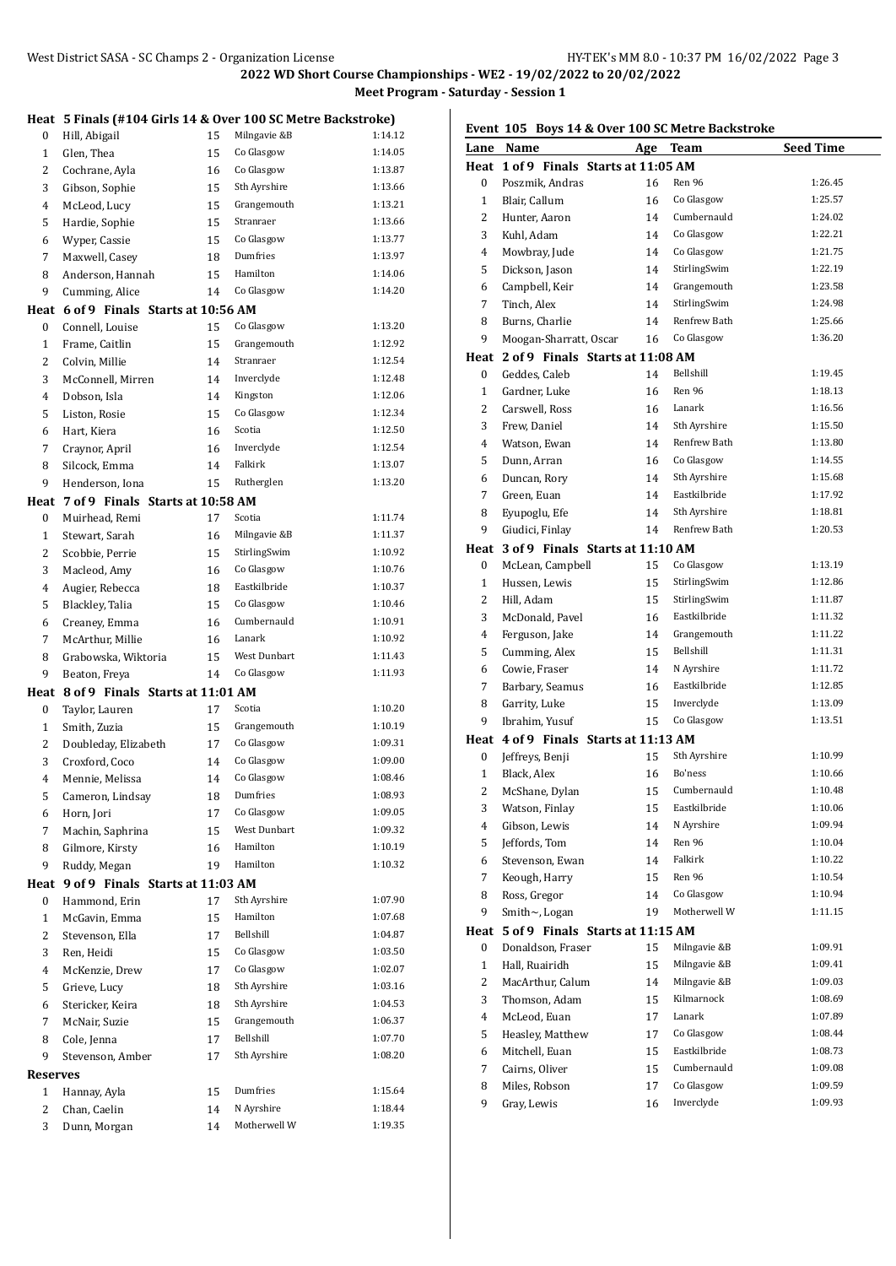|                 | Heat 5 Finals (#104 Girls 14 & Over 100 SC Metre Backstroke) |    |              |         |
|-----------------|--------------------------------------------------------------|----|--------------|---------|
| 0               | Hill, Abigail                                                | 15 | Milngavie &B | 1:14.12 |
| 1               | Glen, Thea                                                   | 15 | Co Glasgow   | 1:14.05 |
| $\overline{2}$  | Cochrane, Ayla                                               | 16 | Co Glasgow   | 1:13.87 |
| 3               | Gibson, Sophie                                               | 15 | Sth Ayrshire | 1:13.66 |
| 4               | McLeod, Lucy                                                 | 15 | Grangemouth  | 1:13.21 |
| 5               | Hardie, Sophie                                               | 15 | Stranraer    | 1:13.66 |
| 6               | Wyper, Cassie                                                | 15 | Co Glasgow   | 1:13.77 |
| 7               | Maxwell, Casey                                               | 18 | Dumfries     | 1:13.97 |
| 8               | Anderson, Hannah                                             | 15 | Hamilton     | 1:14.06 |
| 9               | Cumming, Alice                                               | 14 | Co Glasgow   | 1:14.20 |
|                 | Heat 6 of 9 Finals Starts at 10:56 AM                        |    |              |         |
| 0               | Connell, Louise                                              | 15 | Co Glasgow   | 1:13.20 |
| 1               | Frame, Caitlin                                               | 15 | Grangemouth  | 1:12.92 |
| $\overline{2}$  | Colvin, Millie                                               | 14 | Stranraer    | 1:12.54 |
| 3               | McConnell, Mirren                                            | 14 | Inverclyde   | 1:12.48 |
| 4               | Dobson. Isla                                                 | 14 | Kingston     | 1:12.06 |
| 5               | Liston, Rosie                                                | 15 | Co Glasgow   | 1:12.34 |
| 6               | Hart, Kiera                                                  | 16 | Scotia       | 1:12.50 |
| 7               | Craynor, April                                               | 16 | Inverclyde   | 1:12.54 |
| 8               | Silcock, Emma                                                | 14 | Falkirk      | 1:13.07 |
| 9               | Henderson, Iona                                              | 15 | Rutherglen   | 1:13.20 |
| Heat            | 7 of 9 Finals Starts at 10:58 AM                             |    |              |         |
| 0               | Muirhead, Remi                                               | 17 | Scotia       | 1:11.74 |
| $\mathbf{1}$    | Stewart, Sarah                                               | 16 | Milngavie &B | 1:11.37 |
| $\overline{2}$  | Scobbie, Perrie                                              | 15 | StirlingSwim | 1:10.92 |
| 3               | Macleod, Amy                                                 | 16 | Co Glasgow   | 1:10.76 |
| 4               | Augier, Rebecca                                              | 18 | Eastkilbride | 1:10.37 |
| 5               | Blackley, Talia                                              | 15 | Co Glasgow   | 1:10.46 |
| 6               | Creaney, Emma                                                | 16 | Cumbernauld  | 1:10.91 |
| 7               | McArthur, Millie                                             | 16 | Lanark       | 1:10.92 |
| 8               | Grabowska, Wiktoria                                          | 15 | West Dunbart | 1:11.43 |
| 9               | Beaton, Freya                                                | 14 | Co Glasgow   | 1:11.93 |
|                 | Heat 8 of 9 Finals Starts at 11:01 AM                        |    |              |         |
| 0               | Taylor, Lauren                                               | 17 | Scotia       | 1:10.20 |
| 1               | Smith, Zuzia                                                 | 15 | Grangemouth  | 1:10.19 |
| $\overline{2}$  | Doubleday, Elizabeth                                         | 17 | Co Glasgow   | 1:09.31 |
| 3               | Croxford, Coco                                               | 14 | Co Glasgow   | 1:09.00 |
| 4               | Mennie, Melissa                                              | 14 | Co Glasgow   | 1:08.46 |
| 5               | Cameron, Lindsay                                             | 18 | Dumfries     | 1:08.93 |
| 6               | Horn, Jori                                                   | 17 | Co Glasgow   | 1:09.05 |
| 7               | Machin, Saphrina                                             | 15 | West Dunbart | 1:09.32 |
| 8               | Gilmore, Kirsty                                              | 16 | Hamilton     | 1:10.19 |
| 9               | Ruddy, Megan                                                 | 19 | Hamilton     | 1:10.32 |
| Heat            | 9 of 9 Finals Starts at 11:03 AM                             |    |              |         |
| 0               | Hammond, Erin                                                | 17 | Sth Ayrshire | 1:07.90 |
| 1               | McGavin, Emma                                                | 15 | Hamilton     | 1:07.68 |
| $\overline{c}$  | Stevenson, Ella                                              | 17 | Bellshill    | 1:04.87 |
| 3               | Ren, Heidi                                                   | 15 | Co Glasgow   | 1:03.50 |
| 4               | McKenzie, Drew                                               | 17 | Co Glasgow   | 1:02.07 |
| 5               | Grieve, Lucy                                                 | 18 | Sth Ayrshire | 1:03.16 |
| 6               | Stericker, Keira                                             | 18 | Sth Ayrshire | 1:04.53 |
| 7               | McNair, Suzie                                                | 15 | Grangemouth  | 1:06.37 |
| 8               | Cole, Jenna                                                  | 17 | Bellshill    | 1:07.70 |
| 9               | Stevenson, Amber                                             | 17 | Sth Ayrshire | 1:08.20 |
| <b>Reserves</b> |                                                              |    |              |         |
| $\mathbf{1}$    | Hannay, Ayla                                                 | 15 | Dumfries     | 1:15.64 |
| $\overline{c}$  | Chan, Caelin                                                 | 14 | N Ayrshire   | 1:18.44 |
| 3               | Dunn, Morgan                                                 | 14 | Motherwell W | 1:19.35 |
|                 |                                                              |    |              |         |

# **Event 105 Boys 14 & Over 100 SC Metre Backstroke**

| Lane           | Name                                  | Age | Team                        | <b>Seed Time</b>   |
|----------------|---------------------------------------|-----|-----------------------------|--------------------|
|                | Heat 1 of 9 Finals Starts at 11:05 AM |     |                             |                    |
| $\bf{0}$       | Poszmik. Andras                       | 16  | Ren 96                      | 1:26.45            |
| $\mathbf{1}$   | Blair, Callum                         | 16  | Co Glasgow                  | 1:25.57            |
| 2              | Hunter, Aaron                         | 14  | Cumbernauld                 | 1:24.02            |
| 3              | Kuhl, Adam                            | 14  | Co Glasgow                  | 1:22.21            |
| 4              | Mowbray, Jude                         | 14  | Co Glasgow                  | 1:21.75            |
| 5              | Dickson, Jason                        | 14  | StirlingSwim                | 1:22.19            |
| 6              | Campbell, Keir                        | 14  | Grangemouth                 | 1:23.58            |
| 7              | Tinch, Alex                           | 14  | StirlingSwim                | 1:24.98            |
| 8              | Burns, Charlie                        | 14  | Renfrew Bath                | 1:25.66            |
| 9              | Moogan-Sharratt, Oscar                | 16  | Co Glasgow                  | 1:36.20            |
|                | Heat 2 of 9 Finals Starts at 11:08 AM |     |                             |                    |
| 0              | Geddes, Caleb                         | 14  | Bellshill                   | 1:19.45            |
| $\mathbf{1}$   | Gardner, Luke                         | 16  | Ren 96                      | 1:18.13            |
| 2              | Carswell, Ross                        | 16  | Lanark                      | 1:16.56            |
| 3              | Frew, Daniel                          | 14  | Sth Ayrshire                | 1:15.50            |
| 4              | Watson, Ewan                          | 14  | Renfrew Bath                | 1:13.80            |
| 5              | Dunn, Arran                           | 16  | Co Glasgow                  | 1:14.55            |
| 6              | Duncan, Rory                          | 14  | Sth Ayrshire                | 1:15.68            |
| 7              | Green, Euan                           | 14  | Eastkilbride                | 1:17.92            |
| 8              | Eyupoglu, Efe                         | 14  | Sth Ayrshire                | 1:18.81            |
| 9              | Giudici, Finlay                       | 14  | Renfrew Bath                | 1:20.53            |
|                | Heat 3 of 9 Finals Starts at 11:10 AM |     |                             |                    |
| 0              | McLean, Campbell                      | 15  | Co Glasgow                  | 1:13.19            |
| $\mathbf{1}$   | Hussen, Lewis                         | 15  | StirlingSwim                | 1:12.86            |
| 2              | Hill, Adam                            | 15  | StirlingSwim                | 1:11.87            |
| 3              | McDonald, Pavel                       | 16  | Eastkilbride                | 1:11.32            |
| 4              | Ferguson, Jake                        | 14  | Grangemouth                 | 1:11.22            |
| 5              | Cumming, Alex                         | 15  | Bellshill                   | 1:11.31            |
| 6              | Cowie, Fraser                         | 14  | N Ayrshire                  | 1:11.72            |
| 7              | Barbary, Seamus                       | 16  | Eastkilbride                | 1:12.85            |
| 8              | Garrity, Luke                         | 15  | Inverclyde                  | 1:13.09            |
| 9              | Ibrahim, Yusuf                        | 15  | Co Glasgow                  | 1:13.51            |
|                | Heat 4 of 9 Finals Starts at 11:13 AM |     |                             |                    |
|                |                                       |     | Sth Ayrshire                | 1:10.99            |
| 0              | Jeffreys, Benji                       | 15  | Bo'ness                     | 1:10.66            |
| $\mathbf{1}$   | Black, Alex                           | 16  |                             | 1:10.48            |
| 2              | McShane, Dylan                        | 15  | Cumbernauld<br>Eastkilbride |                    |
| 3              | Watson, Finlay                        | 15  |                             | 1:10.06            |
| 4              | Gibson, Lewis<br>Jeffords, Tom        | 14  | N Ayrshire<br>Ren 96        | 1:09.94            |
| 5              |                                       | 14  | Falkirk                     | 1:10.04<br>1:10.22 |
| 6              | Stevenson, Ewan                       | 14  |                             |                    |
| 7              | Keough, Harry                         | 15  | Ren 96                      | 1:10.54            |
| 8              | Ross, Gregor                          | 14  | Co Glasgow<br>Motherwell W  | 1:10.94<br>1:11.15 |
| 9              | Smith~, Logan                         | 19  |                             |                    |
| Heat           | 5 of 9 Finals Starts at 11:15 AM      |     |                             |                    |
| 0              | Donaldson, Fraser                     | 15  | Milngavie &B                | 1:09.91            |
| $\mathbf{1}$   | Hall, Ruairidh                        | 15  | Milngavie &B                | 1:09.41            |
| 2              | MacArthur, Calum                      | 14  | Milngavie &B                | 1:09.03            |
| 3              | Thomson, Adam                         | 15  | Kilmarnock                  | 1:08.69            |
| $\overline{4}$ | McLeod, Euan                          | 17  | Lanark                      | 1:07.89            |
| 5              | Heasley, Matthew                      | 17  | Co Glasgow                  | 1:08.44            |
| 6              | Mitchell, Euan                        | 15  | Eastkilbride                | 1:08.73            |
| 7              | Cairns, Oliver                        | 15  | Cumbernauld                 | 1:09.08            |
| 8              | Miles, Robson                         | 17  | Co Glasgow                  | 1:09.59            |
| 9              | Gray, Lewis                           | 16  | Inverclyde                  | 1:09.93            |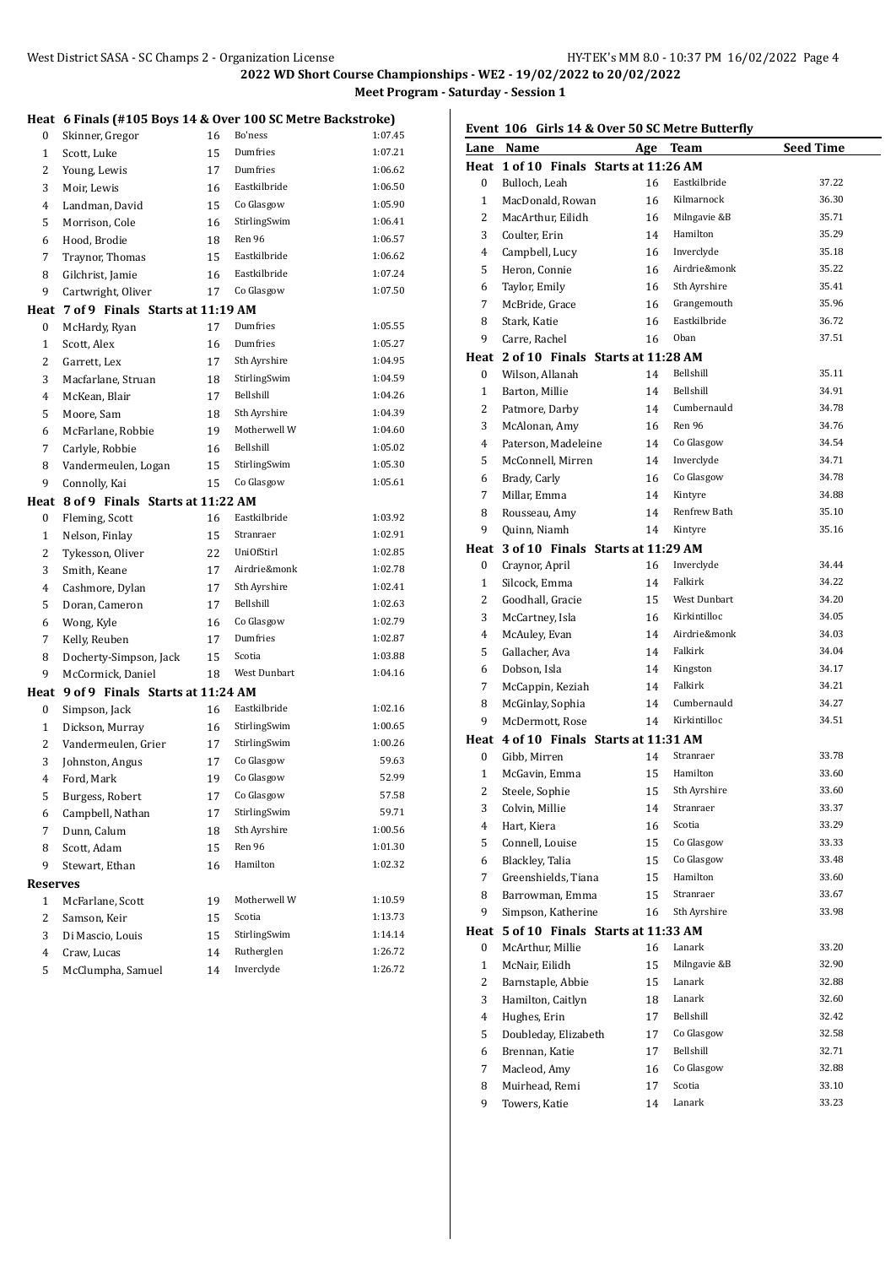#### **Heat 6 Finals (#105 Boys 14 & Over 100 SC Metre Backstroke)**

| ncac          | $01$ mais ( $\pi$ 103 D0ys 17 $\alpha$ ) |    | over 100 56 metre backstroke) |         |
|---------------|------------------------------------------|----|-------------------------------|---------|
| 0             | Skinner, Gregor                          | 16 | Bo'ness                       | 1:07.45 |
| $\mathbf{1}$  | Scott, Luke                              | 15 | Dumfries                      | 1:07.21 |
| 2             | Young, Lewis                             | 17 | Dumfries                      | 1:06.62 |
| 3             | Moir, Lewis                              | 16 | Eastkilbride                  | 1:06.50 |
| 4             | Landman, David                           | 15 | Co Glasgow                    | 1:05.90 |
| 5             | Morrison, Cole                           | 16 | StirlingSwim                  | 1:06.41 |
| 6             | Hood, Brodie                             | 18 | Ren 96                        | 1:06.57 |
| 7             | Traynor, Thomas                          | 15 | Eastkilbride                  | 1:06.62 |
| 8             | Gilchrist, Jamie                         | 16 | Eastkilbride                  | 1:07.24 |
| 9             | Cartwright, Oliver                       | 17 | Co Glasgow                    | 1:07.50 |
| Heat          | 7 of 9 Finals Starts at 11:19 AM         |    |                               |         |
| 0             | McHardy, Ryan                            | 17 | Dumfries                      | 1:05.55 |
| 1             | Scott, Alex                              | 16 | Dumfries                      | 1:05.27 |
| 2             | Garrett, Lex                             | 17 | Sth Ayrshire                  | 1:04.95 |
| 3             | Macfarlane, Struan                       | 18 | StirlingSwim                  | 1:04.59 |
| 4             | McKean, Blair                            | 17 | Bellshill                     | 1:04.26 |
| 5             | Moore, Sam                               | 18 | Sth Ayrshire                  | 1:04.39 |
| 6             | McFarlane, Robbie                        | 19 | Motherwell W                  | 1:04.60 |
| 7             | Carlyle, Robbie                          | 16 | Bellshill                     | 1:05.02 |
| 8             | Vandermeulen, Logan                      | 15 | StirlingSwim                  | 1:05.30 |
| 9             | Connolly, Kai                            | 15 | Co Glasgow                    | 1:05.61 |
| Heat          | 8 of 9 Finals Starts at 11:22 AM         |    |                               |         |
| 0             | Fleming, Scott                           | 16 | Eastkilbride                  | 1:03.92 |
| $\mathbf{1}$  | Nelson, Finlay                           | 15 | Stranraer                     | 1:02.91 |
| 2             | Tykesson, Oliver                         | 22 | <b>UniOfStirl</b>             | 1:02.85 |
| 3             | Smith, Keane                             | 17 | Airdrie&monk                  | 1:02.78 |
| 4             | Cashmore, Dylan                          | 17 | Sth Ayrshire                  | 1:02.41 |
| 5             | Doran, Cameron                           | 17 | Bellshill                     | 1:02.63 |
| 6             | Wong, Kyle                               | 16 | Co Glasgow                    | 1:02.79 |
| 7             | Kelly, Reuben                            | 17 | Dumfries                      | 1:02.87 |
| 8             | Docherty-Simpson, Jack                   | 15 | Scotia                        | 1:03.88 |
| 9             | McCormick, Daniel                        | 18 | West Dunbart                  | 1:04.16 |
| Heat          | 9 of 9 Finals Starts at 11:24 AM         |    |                               |         |
| 0             | Simpson, Jack                            | 16 | Eastkilbride                  | 1:02.16 |
| $\mathbf{1}$  | Dickson, Murray                          | 16 | StirlingSwim                  | 1:00.65 |
| 2             | Vandermeulen, Grier                      | 17 | StirlingSwim                  | 1:00.26 |
| 3             | Johnston, Angus                          | 17 | Co Glasgow                    | 59.63   |
| 4             | Ford, Mark                               | 19 | Co Glasgow                    | 52.99   |
| 5             | Burgess, Robert                          | 17 | Co Glasgow                    | 57.58   |
| 6             | Campbell, Nathan                         | 17 | StirlingSwim                  | 59.71   |
| 7             | Dunn, Calum                              | 18 | Sth Ayrshire                  | 1:00.56 |
| 8             | Scott, Adam                              | 15 | Ren 96                        | 1:01.30 |
| 9             | Stewart, Ethan                           | 16 | Hamilton                      | 1:02.32 |
|               |                                          |    |                               |         |
| Reserves<br>1 | McFarlane, Scott                         | 19 | Motherwell W                  | 1:10.59 |
| 2             | Samson, Keir                             | 15 | Scotia                        | 1:13.73 |
| 3             | Di Mascio, Louis                         | 15 | StirlingSwim                  | 1:14.14 |
| 4             | Craw, Lucas                              | 14 | Rutherglen                    | 1:26.72 |
| 5             | McClumpha, Samuel                        | 14 | Inverclyde                    | 1:26.72 |
|               |                                          |    |                               |         |

## **Event 106 Girls 14 & Over 50 SC Metre Butterfly**

|                  | Lane Name                              | Age | Team         | <b>Seed Time</b> |
|------------------|----------------------------------------|-----|--------------|------------------|
|                  | Heat 1 of 10 Finals Starts at 11:26 AM |     |              |                  |
| 0                | Bulloch, Leah                          | 16  | Eastkilbride | 37.22            |
| $\mathbf{1}$     | MacDonald, Rowan                       | 16  | Kilmarnock   | 36.30            |
| 2                | MacArthur, Eilidh                      | 16  | Milngavie &B | 35.71            |
| 3                | Coulter, Erin                          | 14  | Hamilton     | 35.29            |
| 4                | Campbell, Lucy                         | 16  | Inverclyde   | 35.18            |
| 5                | Heron, Connie                          | 16  | Airdrie&monk | 35.22            |
| 6                | Taylor, Emily                          | 16  | Sth Ayrshire | 35.41            |
| 7                | McBride, Grace                         | 16  | Grangemouth  | 35.96            |
| 8                | Stark, Katie                           | 16  | Eastkilbride | 36.72            |
| 9                | Carre, Rachel                          | 16  | Oban         | 37.51            |
|                  | Heat 2 of 10 Finals Starts at 11:28 AM |     |              |                  |
| 0                | Wilson, Allanah                        | 14  | Bellshill    | 35.11            |
| $\mathbf{1}$     | Barton, Millie                         | 14  | Bellshill    | 34.91            |
| 2                | Patmore, Darby                         | 14  | Cumbernauld  | 34.78            |
| 3                | McAlonan, Amy                          | 16  | Ren 96       | 34.76            |
| 4                | Paterson, Madeleine                    | 14  | Co Glasgow   | 34.54            |
| 5                | McConnell, Mirren                      | 14  | Inverclyde   | 34.71            |
| 6                | Brady, Carly                           | 16  | Co Glasgow   | 34.78            |
| 7                | Millar, Emma                           | 14  | Kintyre      | 34.88            |
| 8                | Rousseau, Amy                          | 14  | Renfrew Bath | 35.10            |
| 9                | Quinn, Niamh                           | 14  | Kintyre      | 35.16            |
| Heat             | 3 of 10 Finals Starts at 11:29 AM      |     |              |                  |
| 0                | Craynor, April                         | 16  | Inverclyde   | 34.44            |
| $\mathbf{1}$     | Silcock, Emma                          | 14  | Falkirk      | 34.22            |
| 2                | Goodhall, Gracie                       | 15  | West Dunbart | 34.20            |
| 3                | McCartney, Isla                        | 16  | Kirkintilloc | 34.05            |
| 4                | McAuley, Evan                          | 14  | Airdrie&monk | 34.03            |
| 5                | Gallacher, Ava                         | 14  | Falkirk      | 34.04            |
| 6                | Dobson, Isla                           | 14  | Kingston     | 34.17            |
| 7                | McCappin, Keziah                       | 14  | Falkirk      | 34.21            |
| 8                | McGinlay, Sophia                       | 14  | Cumbernauld  | 34.27            |
| 9                | McDermott, Rose                        | 14  | Kirkintilloc | 34.51            |
|                  | Heat 4 of 10 Finals Starts at 11:31 AM |     |              |                  |
| 0                | Gibb, Mirren                           | 14  | Stranraer    | 33.78            |
| $\mathbf{1}$     | McGavin, Emma                          | 15  | Hamilton     | 33.60            |
| 2                | Steele, Sophie                         | 15  | Sth Ayrshire | 33.60            |
| 3                | Colvin, Millie                         | 14  | Stranraer    | 33.37            |
| 4                | Hart, Kiera                            | 16  | Scotia       | 33.29            |
| 5                | Connell, Louise                        | 15  | Co Glasgow   | 33.33            |
| 6                | Blackley, Talia                        | 15  | Co Glasgow   | 33.48            |
| 7                | Greenshields, Tiana                    | 15  | Hamilton     | 33.60            |
| 8                | Barrowman, Emma                        | 15  | Stranraer    | 33.67            |
| 9                | Simpson, Katherine                     | 16  | Sth Ayrshire | 33.98            |
| Heat             | 5 of 10 Finals Starts at 11:33 AM      |     |              |                  |
| $\boldsymbol{0}$ | McArthur, Millie                       | 16  | Lanark       | 33.20            |
| $\mathbf{1}$     | McNair, Eilidh                         | 15  | Milngavie &B | 32.90            |
| 2                | Barnstaple, Abbie                      | 15  | Lanark       | 32.88            |
| 3                | Hamilton, Caitlyn                      | 18  | Lanark       | 32.60            |
| 4                | Hughes, Erin                           | 17  | Bellshill    | 32.42            |
| 5                | Doubleday, Elizabeth                   | 17  | Co Glasgow   | 32.58            |
| 6                | Brennan, Katie                         | 17  | Bellshill    | 32.71            |
| 7                | Macleod, Amy                           | 16  | Co Glasgow   | 32.88            |
| 8                | Muirhead, Remi                         | 17  | Scotia       | 33.10            |
| 9                | Towers, Katie                          | 14  | Lanark       | 33.23            |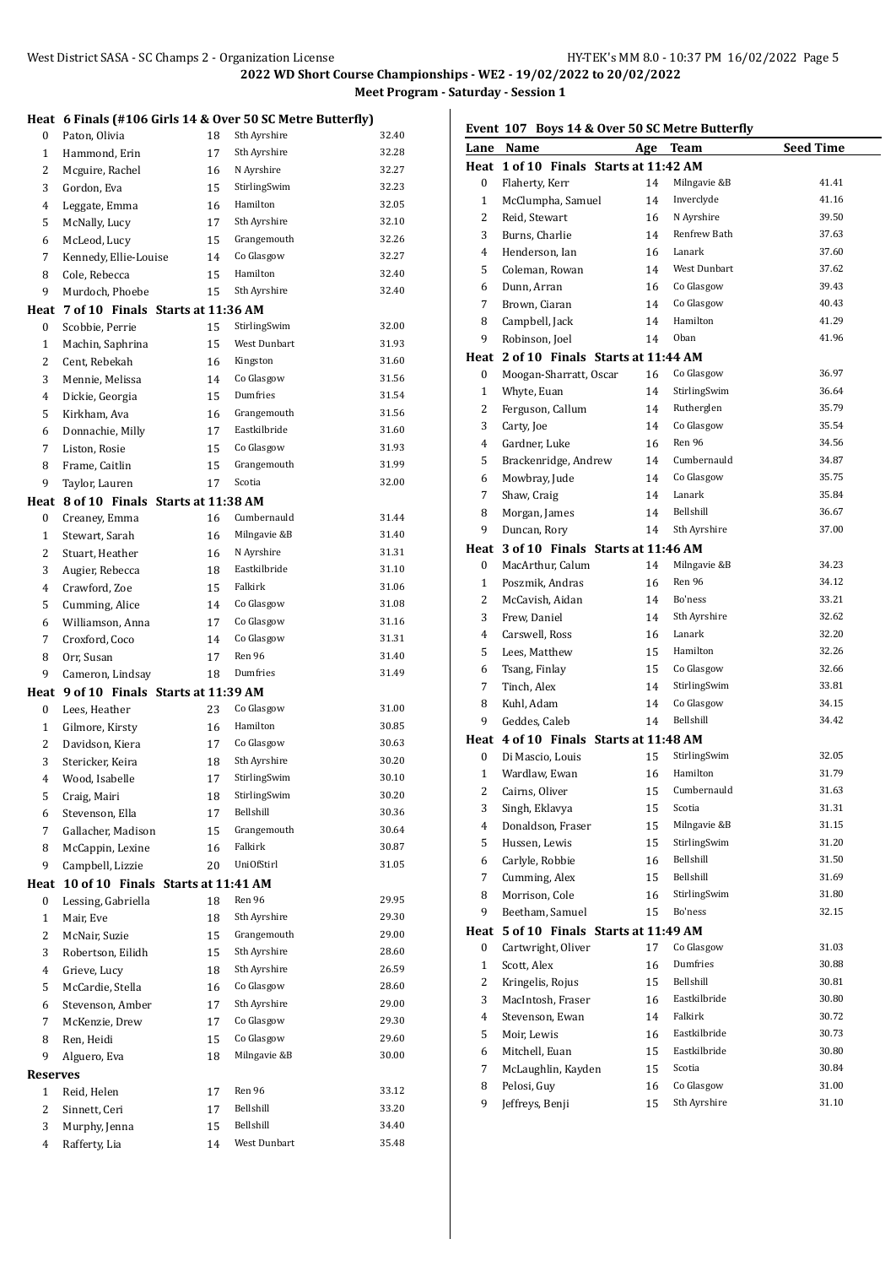## **Heat 6 Finals (#106 Girls 14 & Over 50 SC Metre Butterfly)**

| 0            | Paton, Olivia                          | 18       | Sth Ayrshire              | 32.40          |
|--------------|----------------------------------------|----------|---------------------------|----------------|
| 1            | Hammond, Erin                          | 17       | Sth Ayrshire              | 32.28          |
| 2            | Mcguire, Rachel                        | 16       | N Ayrshire                | 32.27          |
| 3            | Gordon, Eva                            | 15       | StirlingSwim              | 32.23          |
| 4            | Leggate, Emma                          | 16       | Hamilton                  | 32.05          |
| 5            | McNally, Lucy                          | 17       | Sth Ayrshire              | 32.10          |
| 6            | McLeod, Lucy                           | 15       | Grangemouth               | 32.26          |
| 7            | Kennedy, Ellie-Louise                  | 14       | Co Glasgow                | 32.27          |
| 8            | Cole, Rebecca                          | 15       | Hamilton                  | 32.40          |
| 9            | Murdoch, Phoebe                        | 15       | Sth Ayrshire              | 32.40          |
| Heat         | 7 of 10 Finals Starts at 11:36 AM      |          |                           |                |
| 0            | Scobbie, Perrie                        | 15       | StirlingSwim              | 32.00          |
| $\mathbf{1}$ | Machin, Saphrina                       | 15       | West Dunbart              | 31.93          |
| 2            | Cent, Rebekah                          | 16       | Kingston                  | 31.60          |
| 3            | Mennie, Melissa                        | 14       | Co Glasgow                | 31.56          |
| 4            | Dickie, Georgia                        | 15       | Dumfries                  | 31.54          |
| 5            | Kirkham, Ava                           | 16       | Grangemouth               | 31.56          |
| 6            | Donnachie, Milly                       | 17       | Eastkilbride              | 31.60          |
| 7            | Liston, Rosie                          | 15       | Co Glasgow                | 31.93          |
| 8            | Frame, Caitlin                         | 15       | Grangemouth               | 31.99          |
| 9            | Taylor, Lauren                         | 17       | Scotia                    | 32.00          |
| Heat         | 8 of 10 Finals Starts at 11:38 AM      |          |                           |                |
| 0            | Creaney, Emma                          | 16       | Cumbernauld               | 31.44          |
| $\mathbf{1}$ | Stewart, Sarah                         | 16       | Milngavie &B              | 31.40          |
| 2            | Stuart, Heather                        | 16       | N Ayrshire                | 31.31          |
| 3            | Augier, Rebecca                        | 18       | Eastkilbride              | 31.10          |
| 4            | Crawford, Zoe                          | 15       | Falkirk                   | 31.06          |
| 5            | Cumming, Alice                         | 14       | Co Glasgow                | 31.08          |
| 6            | Williamson, Anna                       | 17       | Co Glasgow                | 31.16          |
| 7            | Croxford, Coco                         | 14       | Co Glasgow                | 31.31          |
|              |                                        |          |                           |                |
| 8            | Orr, Susan                             | 17       | Ren 96                    | 31.40          |
| 9            | Cameron, Lindsay                       | 18       | Dumfries                  | 31.49          |
|              | Heat 9 of 10 Finals Starts at 11:39 AM |          |                           |                |
| 0            | Lees, Heather                          | 23       | Co Glasgow                | 31.00          |
| 1            | Gilmore, Kirsty                        | 16       | Hamilton                  | 30.85          |
| 2            | Davidson, Kiera                        | 17       | Co Glasgow                | 30.63          |
| 3            | Stericker, Keira                       | 18       | Sth Ayrshire              | 30.20          |
| 4            | Wood, Isabelle                         | 17       | StirlingSwim              | 30.10          |
| 5            | Craig, Mairi                           | 18       | StirlingSwim              | 30.20          |
| 6            | Stevenson, Ella                        | 17       | Bellshill                 | 30.36          |
| 7            | Gallacher, Madison                     | 15       | Grangemouth               | 30.64          |
| 8            | McCappin, Lexine                       | 16       | Falkirk                   | 30.87          |
| 9            | Campbell, Lizzie                       | 20       | <b>UniOfStirl</b>         | 31.05          |
| Heat         | 10 of 10 Finals Starts at 11:41 AM     |          |                           |                |
| 0            | Lessing, Gabriella                     | 18       | Ren 96                    | 29.95          |
| $\mathbf{1}$ | Mair, Eve                              | 18       | Sth Ayrshire              | 29.30          |
| 2            | McNair, Suzie                          | 15       | Grangemouth               | 29.00          |
| 3            | Robertson, Eilidh                      | 15       | Sth Ayrshire              | 28.60          |
| 4            | Grieve, Lucy                           | 18       | Sth Ayrshire              | 26.59          |
| 5            | McCardie, Stella                       | 16       | Co Glasgow                | 28.60          |
| 6            | Stevenson, Amber                       | 17       | Sth Ayrshire              | 29.00          |
| 7            | McKenzie, Drew                         | 17       | Co Glasgow                | 29.30          |
| 8            | Ren, Heidi                             | 15       | Co Glasgow                | 29.60          |
| 9            | Alguero, Eva                           | 18       | Milngavie &B              | 30.00          |
| Reserves     |                                        |          |                           |                |
| 1            | Reid, Helen                            | 17       | Ren 96                    | 33.12          |
| 2            | Sinnett, Ceri                          | 17       | Bellshill                 | 33.20          |
| 3<br>4       | Murphy, Jenna<br>Rafferty, Lia         | 15<br>14 | Bellshill<br>West Dunbart | 34.40<br>35.48 |

# **Event 107 Boys 14 & Over 50 SC Metre Butterfly**

| Lane             | Name                                   | Age | Team         | <b>Seed Time</b> |
|------------------|----------------------------------------|-----|--------------|------------------|
|                  | Heat 1 of 10 Finals Starts at 11:42 AM |     |              |                  |
| $\boldsymbol{0}$ | Flaherty, Kerr                         | 14  | Milngavie &B | 41.41            |
| 1                | McClumpha, Samuel                      | 14  | Inverclyde   | 41.16            |
| 2                | Reid. Stewart                          | 16  | N Ayrshire   | 39.50            |
| 3                | Burns, Charlie                         | 14  | Renfrew Bath | 37.63            |
| $\overline{4}$   | Henderson, Ian                         | 16  | Lanark       | 37.60            |
| 5                | Coleman, Rowan                         | 14  | West Dunbart | 37.62            |
| 6                | Dunn. Arran                            | 16  | Co Glasgow   | 39.43            |
| 7                | Brown, Ciaran                          | 14  | Co Glasgow   | 40.43            |
| 8                | Campbell, Jack                         | 14  | Hamilton     | 41.29            |
| 9                | Robinson, Joel                         | 14  | Oban         | 41.96            |
|                  | Heat 2 of 10 Finals Starts at 11:44 AM |     |              |                  |
| 0                | Moogan-Sharratt, Oscar                 | 16  | Co Glasgow   | 36.97            |
| 1                | Whyte, Euan                            | 14  | StirlingSwim | 36.64            |
| 2                | Ferguson, Callum                       | 14  | Rutherglen   | 35.79            |
| 3                | Carty, Joe                             | 14  | Co Glasgow   | 35.54            |
| $\overline{4}$   | Gardner, Luke                          | 16  | Ren 96       | 34.56            |
| 5                | Brackenridge, Andrew                   | 14  | Cumbernauld  | 34.87            |
| 6                | Mowbray, Jude                          | 14  | Co Glasgow   | 35.75            |
| 7                | Shaw, Craig                            | 14  | Lanark       | 35.84            |
| 8                | Morgan, James                          | 14  | Bellshill    | 36.67            |
| 9                | Duncan, Rory                           | 14  | Sth Ayrshire | 37.00            |
| Heat             | 3 of 10 Finals Starts at 11:46 AM      |     |              |                  |
| 0                | MacArthur, Calum                       | 14  | Milngavie &B | 34.23            |
| $\mathbf{1}$     | Poszmik, Andras                        | 16  | Ren 96       | 34.12            |
| 2                | McCavish, Aidan                        | 14  | Bo'ness      | 33.21            |
| 3                | Frew, Daniel                           | 14  | Sth Ayrshire | 32.62            |
| 4                | Carswell, Ross                         | 16  | Lanark       | 32.20            |
| 5                | Lees, Matthew                          | 15  | Hamilton     | 32.26            |
| 6                | Tsang, Finlay                          | 15  | Co Glasgow   | 32.66            |
| 7                | Tinch, Alex                            | 14  | StirlingSwim | 33.81            |
| 8                | Kuhl, Adam                             | 14  | Co Glasgow   | 34.15            |
| 9                | Geddes, Caleb                          | 14  | Bellshill    | 34.42            |
|                  | Heat 4 of 10 Finals Starts at 11:48 AM |     |              |                  |
| 0                | Di Mascio, Louis                       | 15  | StirlingSwim | 32.05            |
| $\mathbf{1}$     | Wardlaw, Ewan                          | 16  | Hamilton     | 31.79            |
| 2                | Cairns, Oliver                         | 15  | Cumbernauld  | 31.63            |
| 3                | Singh, Eklavya                         | 15  | Scotia       | 31.31            |
| 4                | Donaldson, Fraser                      | 15  | Milngavie &B | 31.15            |
| 5                | Hussen, Lewis                          | 15  | StirlingSwim | 31.20            |
| 6                | Carlyle, Robbie                        | 16  | Bellshill    | 31.50            |
| 7                | Cumming, Alex                          | 15  | Bellshill    | 31.69            |
| 8                | Morrison, Cole                         | 16  | StirlingSwim | 31.80            |
| 9                | Beetham, Samuel                        | 15  | Bo'ness      | 32.15            |
| Heat             | 5 of 10 Finals Starts at 11:49 AM      |     |              |                  |
| $\boldsymbol{0}$ | Cartwright, Oliver                     | 17  | Co Glasgow   | 31.03            |
| $\mathbf{1}$     | Scott, Alex                            | 16  | Dumfries     | 30.88            |
| 2                | Kringelis, Rojus                       | 15  | Bellshill    | 30.81            |
| 3                | MacIntosh, Fraser                      | 16  | Eastkilbride | 30.80            |
| 4                | Stevenson, Ewan                        | 14  | Falkirk      | 30.72            |
| 5                | Moir, Lewis                            | 16  | Eastkilbride | 30.73            |
| 6                | Mitchell, Euan                         | 15  | Eastkilbride | 30.80            |
| 7                | McLaughlin, Kayden                     | 15  | Scotia       | 30.84            |
| 8                | Pelosi, Guy                            | 16  | Co Glasgow   | 31.00            |
| 9                | Jeffreys, Benji                        | 15  | Sth Ayrshire | 31.10            |